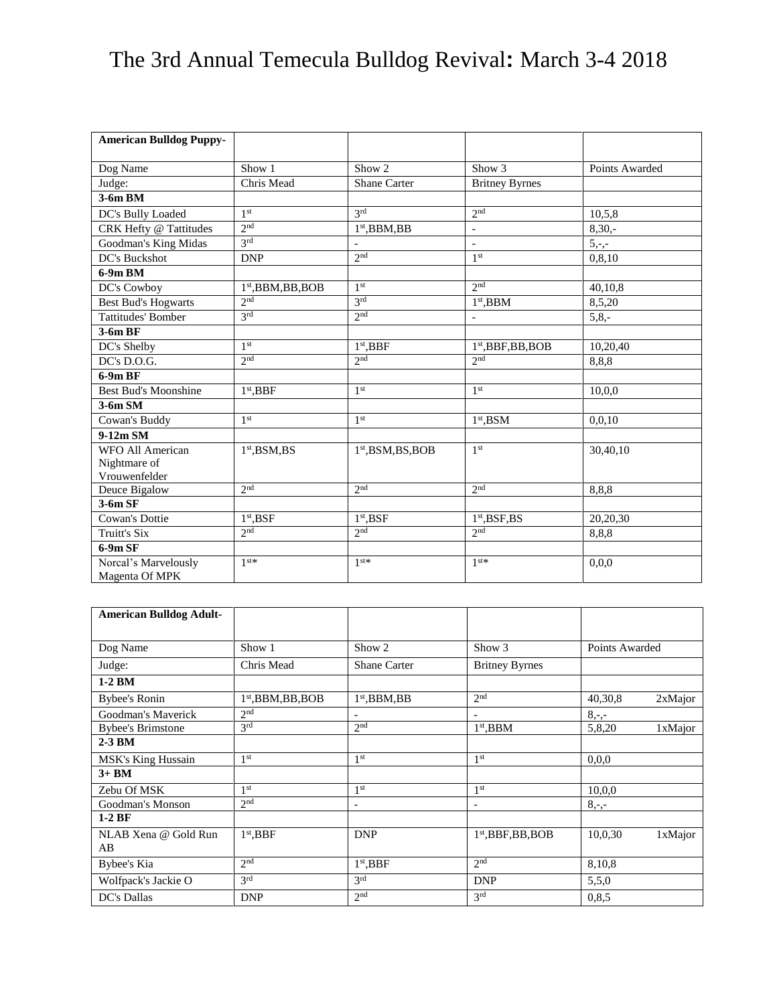## The 3rd Annual Temecula Bulldog Revival**:** March 3-4 2018

| <b>American Bulldog Puppy-</b>         |                      |                          |                                          |                |
|----------------------------------------|----------------------|--------------------------|------------------------------------------|----------------|
|                                        | Show 1               | Show 2                   | Show 3                                   | Points Awarded |
| Dog Name                               |                      |                          |                                          |                |
| Judge:                                 | Chris Mead           | <b>Shane Carter</b>      | <b>Britney Byrnes</b>                    |                |
| 3-6m BM                                |                      |                          |                                          |                |
| DC's Bully Loaded                      | 1 <sup>st</sup>      | 2rd                      | 2 <sup>nd</sup>                          | 10,5,8         |
| CRK Hefty @ Tattitudes                 | 2 <sup>nd</sup>      | $1st$ , BBM, BB          | $\overline{\phantom{a}}$                 | $8,30,-$       |
| Goodman's King Midas                   | 2rd                  | $\overline{\phantom{a}}$ | $\blacksquare$                           | $5,-,-$        |
| DC's Buckshot                          | <b>DNP</b>           | 2 <sup>nd</sup>          | 1 <sup>st</sup>                          | 0, 8, 10       |
| $6-9m$ BM                              |                      |                          |                                          |                |
| DC's Cowboy                            | $1st$ , BBM, BB, BOB | 1 <sup>st</sup>          | 2 <sub>nd</sub>                          | 40,10,8        |
| <b>Best Bud's Hogwarts</b>             | 2 <sub>nd</sub>      | 3rd                      | $1st$ , BBM                              | 8,5,20         |
| <b>Tattitudes' Bomber</b>              | 3 <sup>rd</sup>      | 2 <sup>nd</sup>          | $\overline{a}$                           | $5,8,-$        |
| 3-6m BF                                |                      |                          |                                          |                |
| DC's Shelby                            | 1 <sup>st</sup>      | $1st$ , BBF              | $1st$ , BBF, BB, BOB                     | 10,20,40       |
| DC's D.O.G.                            | 2 <sub>nd</sub>      | 2 <sup>nd</sup>          | 2 <sub>nd</sub>                          | 8,8,8          |
| 6-9m BF                                |                      |                          |                                          |                |
| <b>Best Bud's Moonshine</b>            | $1st$ , BBF          | 1 <sup>st</sup>          | 1 <sup>st</sup>                          | 10,0,0         |
| $3-6m SM$                              |                      |                          |                                          |                |
| Cowan's Buddy                          | 1 <sup>st</sup>      | 1 <sup>st</sup>          | $1st$ , BSM                              | 0,0,10         |
| $9-12m$ SM                             |                      |                          |                                          |                |
| WFO All American                       | $1st$ , BSM, BS      | $1st$ , BSM, BS, BOB     | 1 <sup>st</sup>                          | 30,40,10       |
| Nightmare of                           |                      |                          |                                          |                |
| Vrouwenfelder                          |                      |                          |                                          |                |
| Deuce Bigalow                          | 2 <sub>nd</sub>      | 2 <sub>nd</sub>          | 2 <sub>nd</sub>                          | 8,8,8          |
| $3-6m$ SF                              |                      |                          |                                          |                |
| Cowan's Dottie                         | $1st$ , BSF          | $1st$ , BSF              | 1 <sup>st</sup> , <b>BSF</b> , <b>BS</b> | 20,20,30       |
| Truitt's Six                           | 2 <sub>nd</sub>      | 2 <sub>nd</sub>          | 2 <sub>nd</sub>                          | 8,8,8          |
| $6-9m$ SF                              |                      |                          |                                          |                |
| Norcal's Marvelously<br>Magenta Of MPK | $1$ <sup>st</sup> *  | $1$ <sup>st</sup> *      | $1$ st $*$                               | 0,0,0          |

| <b>American Bulldog Adult-</b> |                      |                          |                                |                |         |
|--------------------------------|----------------------|--------------------------|--------------------------------|----------------|---------|
|                                |                      |                          |                                |                |         |
| Dog Name                       | Show 1               | Show 2                   | Show 3                         | Points Awarded |         |
| Judge:                         | Chris Mead           | <b>Shane Carter</b>      | <b>Britney Byrnes</b>          |                |         |
| $1-2$ BM                       |                      |                          |                                |                |         |
| Bybee's Ronin                  | $1st$ , BBM, BB, BOB | $1st$ , BBM, BB          | 2 <sup>nd</sup>                | 40,30,8        | 2xMajor |
| Goodman's Maverick             | 2 <sup>nd</sup>      | $\overline{\phantom{a}}$ | $\overline{\phantom{a}}$       | $8, -,-$       |         |
| <b>Bybee's Brimstone</b>       | 3 <sup>rd</sup>      | 2 <sup>nd</sup>          | $1st$ , BBM                    | 5,8,20         | 1xMajor |
| $2-3$ BM                       |                      |                          |                                |                |         |
| MSK's King Hussain             | 1 <sup>st</sup>      | 1 <sup>st</sup>          | 1 <sup>st</sup>                | 0.0.0          |         |
| $3+BM$                         |                      |                          |                                |                |         |
| Zebu Of MSK                    | 1 <sup>st</sup>      | 1 <sup>st</sup>          | 1 <sup>st</sup>                | 10,0,0         |         |
| Goodman's Monson               | 2 <sub>nd</sub>      | $\overline{\phantom{a}}$ |                                | $8, -,-$       |         |
| $1-2BF$                        |                      |                          |                                |                |         |
| NLAB Xena @ Gold Run           | $1st$ , BBF          | <b>DNP</b>               | 1 <sup>st</sup> , BBF, BB, BOB | 10,0,30        | 1xMajor |
| AB                             |                      |                          |                                |                |         |
| Bybee's Kia                    | 2 <sub>nd</sub>      | 1 <sup>st</sup> , BBF    | 2 <sub>nd</sub>                | 8,10,8         |         |
| Wolfpack's Jackie O            | 3 <sup>rd</sup>      | 2rd                      | <b>DNP</b>                     | 5,5,0          |         |
| DC's Dallas                    | <b>DNP</b>           | 2 <sup>nd</sup>          | 3 <sup>rd</sup>                | 0,8,5          |         |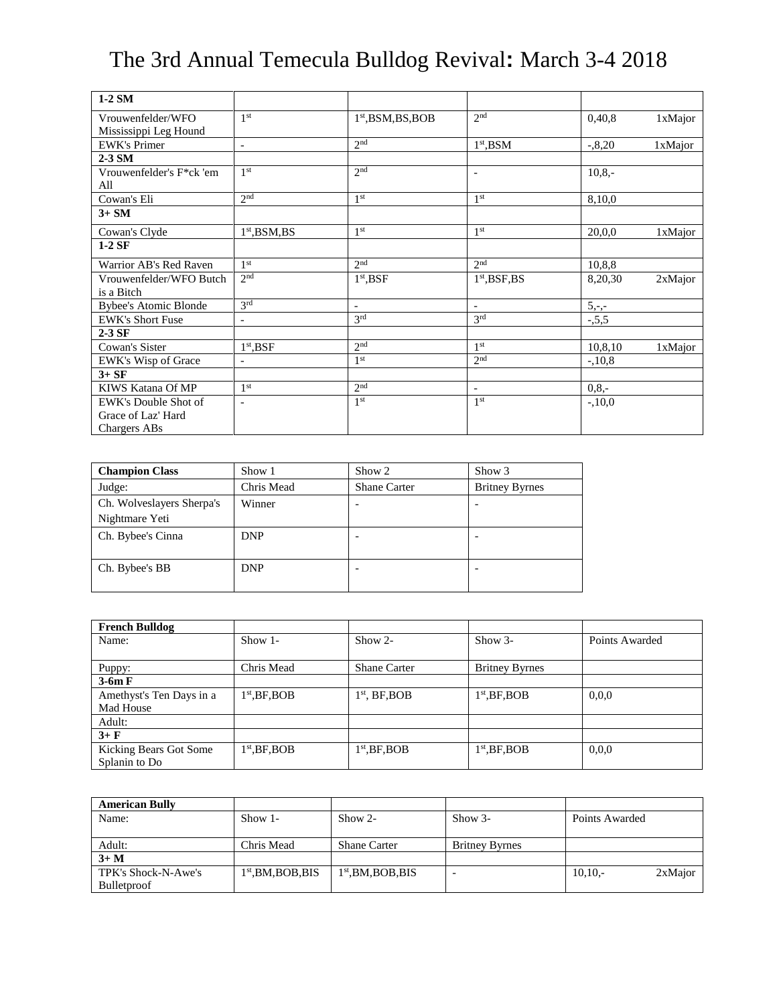## The 3rd Annual Temecula Bulldog Revival**:** March 3-4 2018

| $1-2$ SM                     |                           |                                |                          |           |         |
|------------------------------|---------------------------|--------------------------------|--------------------------|-----------|---------|
| Vrouwenfelder/WFO            | 1 <sup>st</sup>           | 1 <sup>st</sup> , BSM, BS, BOB | 2 <sub>nd</sub>          | 0,40,8    | 1xMajor |
| Mississippi Leg Hound        |                           |                                |                          |           |         |
| <b>EWK's Primer</b>          | $\overline{\phantom{a}}$  | 2 <sub>nd</sub>                | $1st$ , BSM              | $-0.8,20$ | 1xMajor |
| $2-3$ SM                     |                           |                                |                          |           |         |
| Vrouwenfelder's F*ck 'em     | 1 <sup>st</sup>           | 2 <sub>nd</sub>                |                          | $10,8,-$  |         |
| All                          |                           |                                |                          |           |         |
| Cowan's Eli                  | 2 <sup>nd</sup>           | 1 <sup>st</sup>                | 1 <sup>st</sup>          | 8,10,0    |         |
| $3+SM$                       |                           |                                |                          |           |         |
| Cowan's Clyde                | 1 <sup>st</sup> , BSM, BS | 1 <sup>st</sup>                | 1 <sup>st</sup>          | 20,0,0    | 1xMajor |
| $1-2SF$                      |                           |                                |                          |           |         |
| Warrior AB's Red Raven       | 1 <sup>st</sup>           | 2nd                            | 2 <sub>nd</sub>          | 10,8,8    |         |
| Vrouwenfelder/WFO Butch      | 2 <sup>nd</sup>           | $1st$ , BSF                    | $1st$ , BSF, BS          | 8,20,30   | 2xMajor |
| is a Bitch                   |                           |                                |                          |           |         |
| <b>Bybee's Atomic Blonde</b> | 3 <sup>rd</sup>           | $\overline{\phantom{a}}$       | $\overline{\phantom{a}}$ | $5,-,-$   |         |
| <b>EWK's Short Fuse</b>      | $\overline{\phantom{a}}$  | 3 <sup>rd</sup>                | 3 <sup>rd</sup>          | $-5,5,5$  |         |
| $2-3$ SF                     |                           |                                |                          |           |         |
| Cowan's Sister               | $1st$ , BSF               | 2 <sup>nd</sup>                | 1 <sup>st</sup>          | 10,8,10   | 1xMajor |
| EWK's Wisp of Grace          | $\overline{\phantom{a}}$  | 1 <sup>st</sup>                | 2 <sup>nd</sup>          | $-.10,8$  |         |
| $3+SF$                       |                           |                                |                          |           |         |
| KIWS Katana Of MP            | 1 <sup>st</sup>           | 2 <sup>nd</sup>                | $\sim$                   | $0.8 -$   |         |
| EWK's Double Shot of         | $\overline{\phantom{a}}$  | 1 <sup>st</sup>                | 1 <sup>st</sup>          | $-.10,0$  |         |
| Grace of Laz' Hard           |                           |                                |                          |           |         |
| Chargers ABs                 |                           |                                |                          |           |         |

| <b>Champion Class</b>     | Show 1     | Show 2              | Show 3                |
|---------------------------|------------|---------------------|-----------------------|
| Judge:                    | Chris Mead | <b>Shane Carter</b> | <b>Britney Byrnes</b> |
| Ch. Wolveslayers Sherpa's | Winner     |                     |                       |
| Nightmare Yeti            |            |                     |                       |
| Ch. Bybee's Cinna         | <b>DNP</b> |                     |                       |
|                           |            |                     |                       |
| Ch. Bybee's BB            | <b>DNP</b> |                     |                       |
|                           |            |                     |                       |

| <b>French Bulldog</b>    |                 |                     |                       |                |
|--------------------------|-----------------|---------------------|-----------------------|----------------|
| Name:                    | Show $1-$       | $Show 2-$           | $Show 3-$             | Points Awarded |
|                          |                 |                     |                       |                |
| Puppy:                   | Chris Mead      | <b>Shane Carter</b> | <b>Britney Byrnes</b> |                |
| $3-6m F$                 |                 |                     |                       |                |
| Amethyst's Ten Days in a | $1st$ , BF, BOB | $1st$ , BF, BOB     | $1st$ , BF, BOB       | 0.0.0          |
| Mad House                |                 |                     |                       |                |
| Adult:                   |                 |                     |                       |                |
| $3 + F$                  |                 |                     |                       |                |
| Kicking Bears Got Some   | $1st$ , BF, BOB | $1st$ , BF, BOB     | $1st$ , BF, BOB       | 0.0.0          |
| Splanin to Do            |                 |                     |                       |                |

| <b>American Bully</b> |                      |                      |                       |                |         |
|-----------------------|----------------------|----------------------|-----------------------|----------------|---------|
| Name:                 | $Show 1-$            | $Show 2-$            | $Show 3-$             | Points Awarded |         |
|                       |                      |                      |                       |                |         |
| Adult:                | Chris Mead           | <b>Shane Carter</b>  | <b>Britney Byrnes</b> |                |         |
| $3+M$                 |                      |                      |                       |                |         |
| TPK's Shock-N-Awe's   | $1st$ , BM, BOB, BIS | $1st$ , BM, BOB, BIS | -                     | $10,10,-$      | 2xMajor |
| <b>Bulletproof</b>    |                      |                      |                       |                |         |